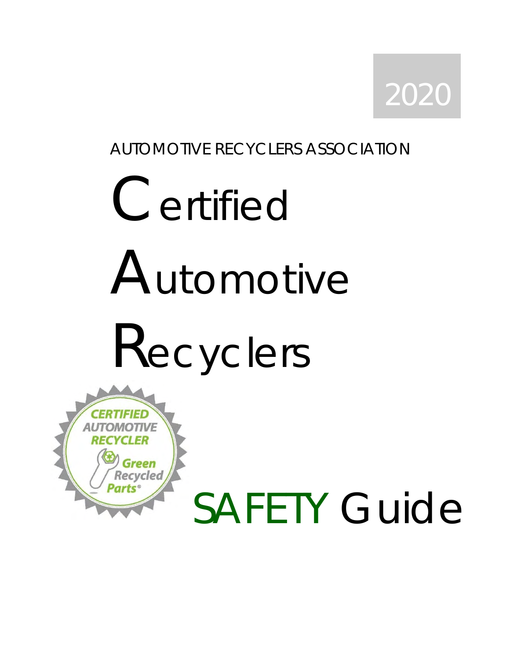

## AUTOMOTIVE RECYCLERS ASSOCIATION

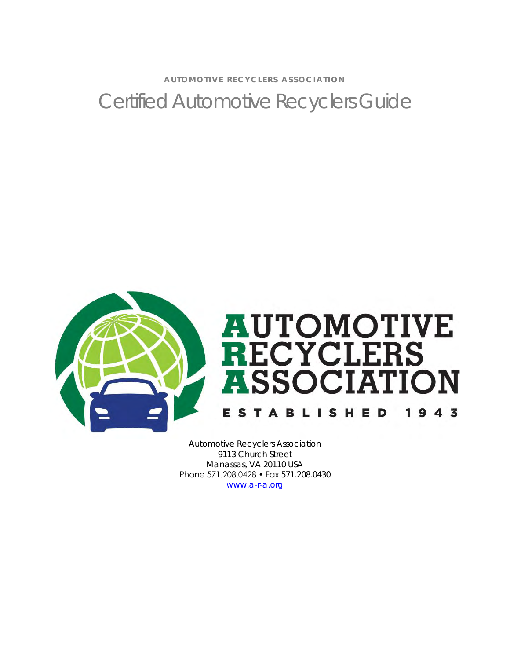A U TO MOTIVE RECYCLERS ASSOCIATION Certified Automotive Recyclers Guide



Automotive Recyclers Association 9113 Church Street Manassas, VA 20110 USA Phone 571.208.0428 • Fax 571.208.0430 [www.a-r-a.org](http://www.a-r-a.org/)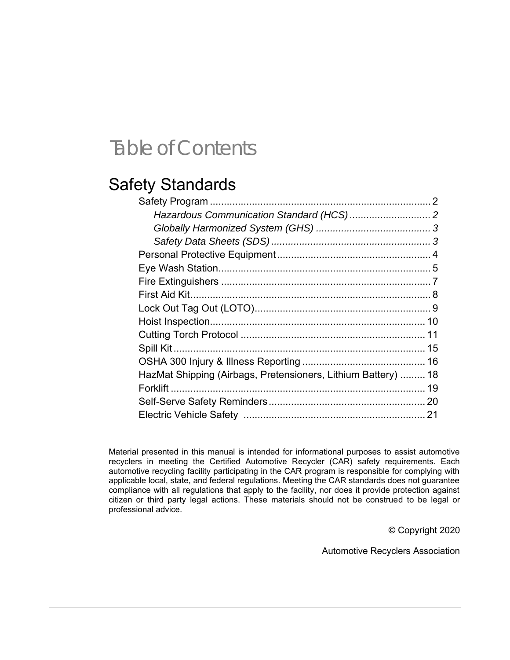## Table of Contents

## Safety Standards

| HazMat Shipping (Airbags, Pretensioners, Lithium Battery)  18 |  |
|---------------------------------------------------------------|--|
|                                                               |  |
|                                                               |  |
|                                                               |  |

Material presented in this manual is intended for informational purposes to assist automotive recyclers in meeting the Certified Automotive Recycler (CAR) safety requirements. Each automotive recycling facility participating in the CAR program is responsible for complying with applicable local, state, and federal regulations. Meeting the CAR standards does not guarantee compliance with all regulations that apply to the facility, nor does it provide protection against citizen or third party legal actions. These materials should not be construed to be legal or professional advice.

© Copyright 2020

Automotive Recyclers Association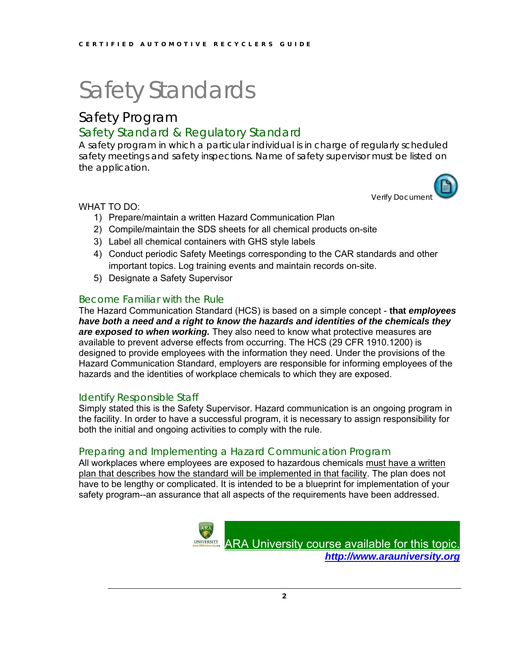## Safety Program

## Safety Standard & Regulatory Standard

A safety program in which a particular individual is in charge of regularly scheduled safety meetings and safety inspections. Name of safety supervisor must be listed on the application.



- 1) Prepare/maintain a written Hazard Communication Plan
- 2) Compile/maintain the SDS sheets for all chemical products on-site
- 3) Label all chemical containers with GHS style labels
- 4) Conduct periodic Safety Meetings corresponding to the CAR standards and other important topics. Log training events and maintain records on-site.
- 5) Designate a Safety Supervisor

### Become Familiar with the Rule

The Hazard Communication Standard (HCS) is based on a simple concept - **that** *employees have both a need and a right to know the hazards and identities of the chemicals they are exposed to when working.* They also need to know what protective measures are available to prevent adverse effects from occurring. The HCS (29 CFR 1910.1200) is designed to provide employees with the information they need. Under the provisions of the Hazard Communication Standard, employers are responsible for informing employees of the hazards and the identities of workplace chemicals to which they are exposed.

#### Identify Responsible Staff

Simply stated this is the Safety Supervisor. Hazard communication is an ongoing program in the facility. In order to have a successful program, it is necessary to assign responsibility for both the initial and ongoing activities to comply with the rule.

#### Preparing and Implementing a Hazard Communication Program

All workplaces where employees are exposed to hazardous chemicals must have a written plan that describes how the standard will be implemented in that facility. The plan does not have to be lengthy or complicated. It is intended to be a blueprint for implementation of your safety program--an assurance that all aspects of the requirements have been addressed.



[ARA University course available for this topic.](http://www.arauniversity.org/) *[http://www.arauniversity.org](http://www.arauniversity.org/)*

Verify Document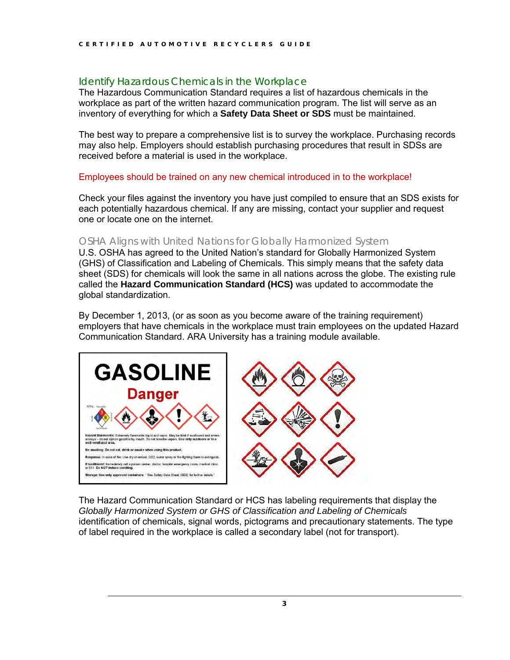### Identify Hazardous Chemicals in the Workplace

The Hazardous Communication Standard requires a list of hazardous chemicals in the workplace as part of the written hazard communication program. The list will serve as an inventory of everything for which a **Safety Data Sheet or SDS** must be maintained.

The best way to prepare a comprehensive list is to survey the workplace. Purchasing records may also help. Employers should establish purchasing procedures that result in SDSs are received before a material is used in the workplace.

Employees should be trained on any new chemical introduced in to the workplace!

Check your files against the inventory you have just compiled to ensure that an SDS exists for each potentially hazardous chemical. If any are missing, contact your supplier and request one or locate one on the internet.

### OSHA Aligns with United Nations for Globally Harmonized System

U.S. OSHA has agreed to the United Nation's standard for Globally Harmonized System (GHS) of Classification and Labeling of Chemicals. This simply means that the safety data sheet (SDS) for chemicals will look the same in all nations across the globe. The existing rule called the **Hazard Communication Standard (HCS)** was updated to accommodate the global standardization.

By December 1, 2013, (or as soon as you become aware of the training requirement) employers that have chemicals in the workplace must train employees on the updated Hazard Communication Standard. ARA University has a training module available.



The Hazard Communication Standard or HCS has labeling requirements that display the *Globally Harmonized System or GHS of Classification and Labeling of Chemicals*  identification of chemicals, signal words, pictograms and precautionary statements. The type of label required in the workplace is called a secondary label (not for transport).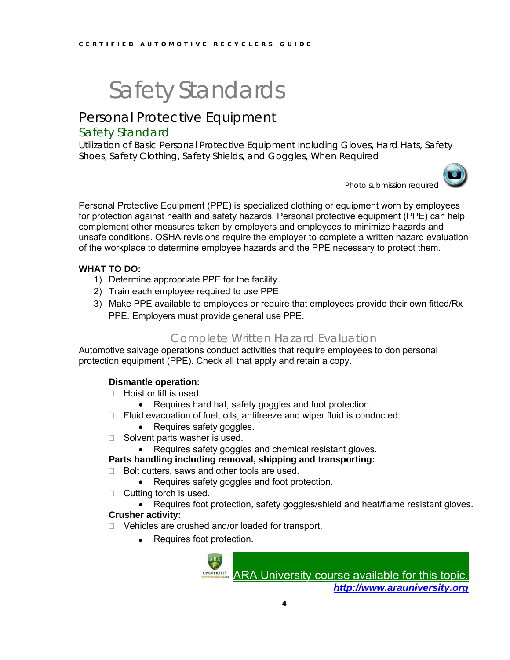## Personal Protective Equipment

### Safety Standard

Utilization of Basic Personal Protective Equipment Including Gloves, Hard Hats, Safety Shoes, Safety Clothing, Safety Shields, and Goggles, When Required



Photo submission required

Personal Protective Equipment (PPE) is specialized clothing or equipment worn by employees for protection against health and safety hazards. Personal protective equipment (PPE) can help complement other measures taken by employers and employees to minimize hazards and unsafe conditions. OSHA revisions require the employer to complete a written hazard evaluation of the workplace to determine employee hazards and the PPE necessary to protect them.

#### **WHAT TO DO:**

- 1) Determine appropriate PPE for the facility.
- 2) Train each employee required to use PPE.
- 3) Make PPE available to employees or require that employees provide their own fitted/Rx PPE. Employers must provide general use PPE.

## Complete Written Hazard Evaluation

Automotive salvage operations conduct activities that require employees to don personal protection equipment (PPE). Check all that apply and retain a copy.

#### **Dismantle operation:**

- $\Box$  Hoist or lift is used.
	- Requires hard hat, safety goggles and foot protection.
- □ Fluid evacuation of fuel, oils, antifreeze and wiper fluid is conducted.
	- Requires safety goggles.
- $\Box$  Solvent parts washer is used.
	- Requires safety goggles and chemical resistant gloves.

#### **Parts handling including removal, shipping and transporting:**

- $\Box$  Bolt cutters, saws and other tools are used.
	- Requires safety goggles and foot protection.
- $\Box$  Cutting torch is used.
- Requires foot protection, safety goggles/shield and heat/flame resistant gloves. **Crusher activity:**
- □ Vehicles are crushed and/or loaded for transport.
	- Requires foot protection.

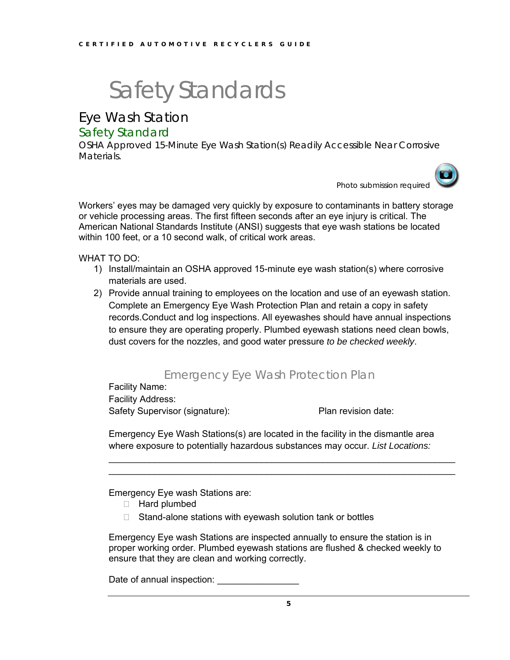Eye Wash Station

### Safety Standard

OSHA Approved 15-Minute Eye Wash Station(s) Readily Accessible Near Corrosive Materials.

Photo submission required

Workers' eyes may be damaged very quickly by exposure to contaminants in battery storage or vehicle processing areas. The first fifteen seconds after an eye injury is critical. The American National Standards Institute (ANSI) suggests that eye wash stations be located within 100 feet, or a 10 second walk, of critical work areas.

WHAT TO DO:

- 1) Install/maintain an OSHA approved 15-minute eye wash station(s) where corrosive materials are used.
- 2) Provide annual training to employees on the location and use of an eyewash station. Complete an Emergency Eye Wash Protection Plan and retain a copy in safety records.Conduct and log inspections. All eyewashes should have annual inspections to ensure they are operating properly. Plumbed eyewash stations need clean bowls, dust covers for the nozzles, and good water pressure *to be checked weekly*.

## Emergency Eye Wash Protection Plan

Facility Name:

Facility Address: Safety Supervisor (signature): Plan revision date:

Emergency Eye Wash Stations(s) are located in the facility in the dismantle area where exposure to potentially hazardous substances may occur. *List Locations:*

 $\_$  , and the contribution of the contribution of  $\mathcal{L}_\mathcal{A}$  , and the contribution of  $\mathcal{L}_\mathcal{A}$  $\mathcal{L}_\text{max} = \mathcal{L}_\text{max} = \mathcal{L}_\text{max} = \mathcal{L}_\text{max} = \mathcal{L}_\text{max} = \mathcal{L}_\text{max} = \mathcal{L}_\text{max} = \mathcal{L}_\text{max} = \mathcal{L}_\text{max} = \mathcal{L}_\text{max} = \mathcal{L}_\text{max} = \mathcal{L}_\text{max} = \mathcal{L}_\text{max} = \mathcal{L}_\text{max} = \mathcal{L}_\text{max} = \mathcal{L}_\text{max} = \mathcal{L}_\text{max} = \mathcal{L}_\text{max} = \mathcal{$ 

Emergency Eye wash Stations are:

- □ Hard plumbed
- $\Box$  Stand-alone stations with eyewash solution tank or bottles

Emergency Eye wash Stations are inspected annually to ensure the station is in proper working order. Plumbed eyewash stations are flushed & checked weekly to ensure that they are clean and working correctly.

Date of annual inspection: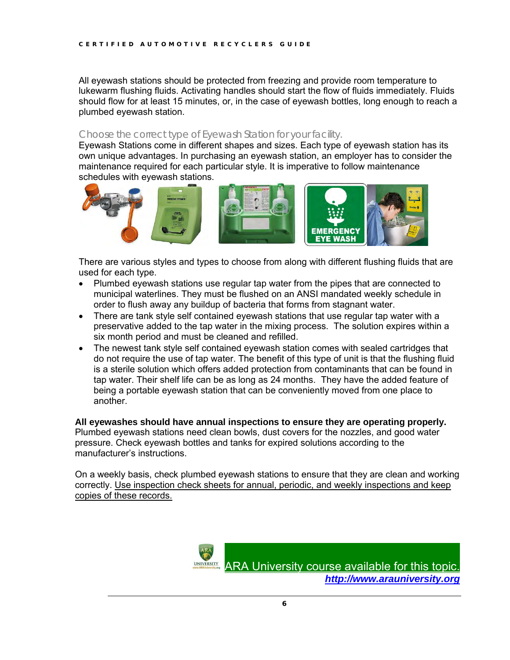All eyewash stations should be protected from freezing and provide room temperature to lukewarm flushing fluids. Activating handles should start the flow of fluids immediately. Fluids should flow for at least 15 minutes, or, in the case of eyewash bottles, long enough to reach a plumbed eyewash station.

#### Choose the correct type of Eyewash Station for your facility.

Eyewash Stations come in different shapes and sizes. Each type of eyewash station has its own unique advantages. In purchasing an eyewash station, an employer has to consider the maintenance required for each particular style. It is imperative to follow maintenance schedules with eyewash stations.



There are various styles and types to choose from along with different flushing fluids that are used for each type.

- Plumbed eyewash stations use regular tap water from the pipes that are connected to municipal waterlines. They must be flushed on an ANSI mandated weekly schedule in order to flush away any buildup of bacteria that forms from stagnant water.
- There are tank style self contained eyewash stations that use regular tap water with a preservative added to the tap water in the mixing process. The solution expires within a six month period and must be cleaned and refilled.
- The newest tank style self contained eyewash station comes with sealed cartridges that do not require the use of tap water. The benefit of this type of unit is that the flushing fluid is a sterile solution which offers added protection from contaminants that can be found in tap water. Their shelf life can be as long as 24 months. They have the added feature of being a portable eyewash station that can be conveniently moved from one place to another.

**All eyewashes should have annual inspections to ensure they are operating properly.** Plumbed eyewash stations need clean bowls, dust covers for the nozzles, and good water pressure. Check eyewash bottles and tanks for expired solutions according to the manufacturer's instructions.

On a weekly basis, check plumbed eyewash stations to ensure that they are clean and working correctly. Use inspection check sheets for annual, periodic, and weekly inspections and keep copies of these records.



[ARA University course available for this topic.](http://www.arauniversity.org/) *[http://www.arauniversity.org](http://www.arauniversity.org/)*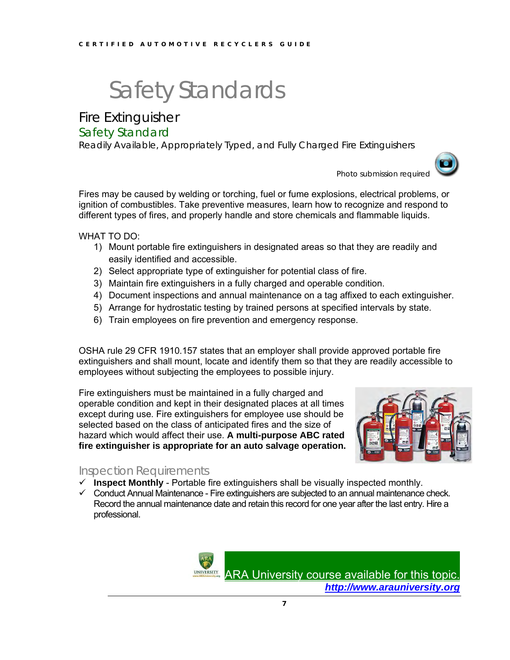Fire Extinguisher

### Safety Standard

Readily Available, Appropriately Typed, and Fully Charged Fire Extinguishers



Photo submission required

Fires may be caused by welding or torching, fuel or fume explosions, electrical problems, or ignition of combustibles. Take preventive measures, learn how to recognize and respond to different types of fires, and properly handle and store chemicals and flammable liquids.

WHAT TO DO:

- 1) Mount portable fire extinguishers in designated areas so that they are readily and easily identified and accessible.
- 2) Select appropriate type of extinguisher for potential class of fire.
- 3) Maintain fire extinguishers in a fully charged and operable condition.
- 4) Document inspections and annual maintenance on a tag affixed to each extinguisher.
- 5) Arrange for hydrostatic testing by trained persons at specified intervals by state.
- 6) Train employees on fire prevention and emergency response.

OSHA rule 29 CFR 1910.157 states that an employer shall provide approved portable fire extinguishers and shall mount, locate and identify them so that they are readily accessible to employees without subjecting the employees to possible injury.

Fire extinguishers must be maintained in a fully charged and operable condition and kept in their designated places at all times except during use. Fire extinguishers for employee use should be selected based on the class of anticipated fires and the size of hazard which would affect their use. **A multi-purpose ABC rated fire extinguisher is appropriate for an auto salvage operation.**



### Inspection Requirements

- $\checkmark$  **Inspect Monthly** Portable fire extinguishers shall be visually inspected monthly.
- $\checkmark$  Conduct Annual Maintenance Fire extinguishers are subjected to an annual maintenance check. Record the annual maintenance date and retain this record for one year after the last entry. Hire a professional.



[ARA University course available for this topic.](http://www.arauniversity.org/) *[http://www.arauniversity.org](http://www.arauniversity.org/)*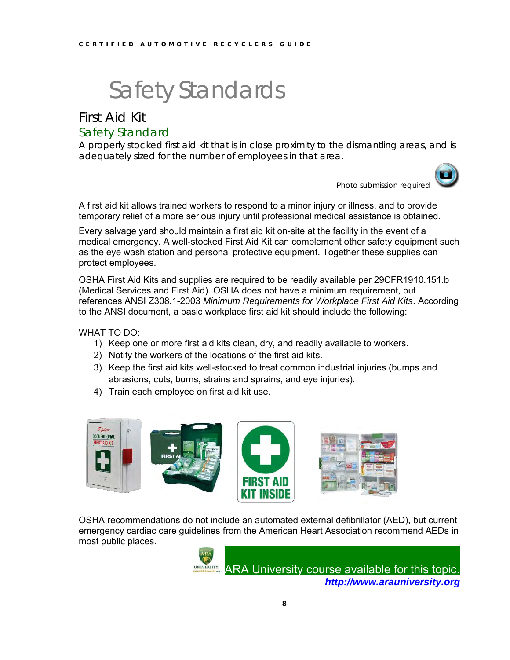## First Aid Kit Safety Standard

A properly stocked first aid kit that is in close proximity to the dismantling areas, and is adequately sized for the number of employees in that area.



Photo submission required

A first aid kit allows trained workers to respond to a minor injury or illness, and to provide temporary relief of a more serious injury until professional medical assistance is obtained.

Every salvage yard should maintain a first aid kit on-site at the facility in the event of a medical emergency. A well-stocked First Aid Kit can complement other safety equipment such as the eye wash station and personal protective equipment. Together these supplies can protect employees.

OSHA First Aid Kits and supplies are required to be readily available per 29CFR1910.151.b (Medical Services and First Aid). OSHA does not have a minimum requirement, but references ANSI Z308.1-2003 *Minimum Requirements for Workplace First Aid Kits*. According to the ANSI document, a basic workplace first aid kit should include the following:

WHAT TO DO:

- 1) Keep one or more first aid kits clean, dry, and readily available to workers.
- 2) Notify the workers of the locations of the first aid kits.
- 3) Keep the first aid kits well-stocked to treat common industrial injuries (bumps and abrasions, cuts, burns, strains and sprains, and eye injuries).
- 4) Train each employee on first aid kit use.



OSHA recommendations do not include an automated external defibrillator (AED), but current emergency cardiac care guidelines from the American Heart Association recommend AEDs in most public places.

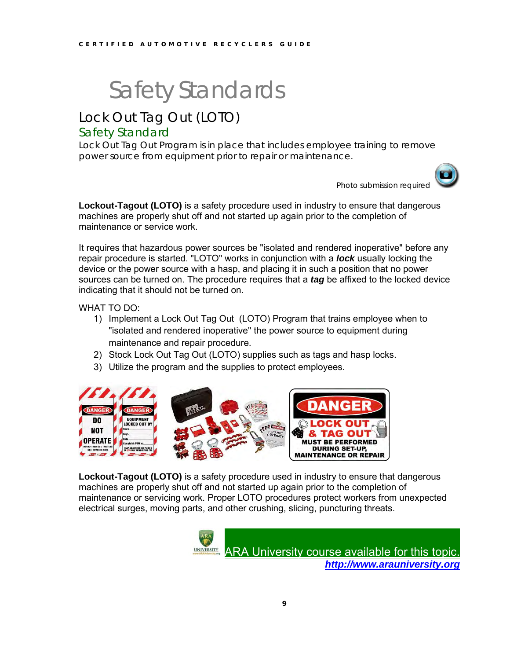## Lock Out Tag Out (LOTO)

### Safety Standard

Lock Out Tag Out Program is in place that includes employee training to remove power source from equipment prior to repair or maintenance.

Photo submission required

**Lockout-Tagout (LOTO)** is a safety procedure used in industry to ensure that dangerous machines are properly shut off and not started up again prior to the completion of maintenance or service work.

It requires that hazardous power sources be "isolated and rendered inoperative" before any repair procedure is started. "LOTO" works in conjunction with a *lock* usually locking the device or the power source with a hasp, and placing it in such a position that no power sources can be turned on. The procedure requires that a *tag* be affixed to the locked device indicating that it should not be turned on.

WHAT TO DO:

- 1) Implement a Lock Out Tag Out (LOTO) Program that trains employee when to "isolated and rendered inoperative" the power source to equipment during maintenance and repair procedure.
- 2) Stock Lock Out Tag Out (LOTO) supplies such as tags and hasp locks.
- 3) Utilize the program and the supplies to protect employees.



**Lockout-Tagout (LOTO)** is a safety procedure used in industry to ensure that dangerous machines are properly shut off and not started up again prior to the completion of maintenance or servicing work. Proper LOTO procedures protect workers from unexpected electrical surges, moving parts, and other crushing, slicing, puncturing threats.

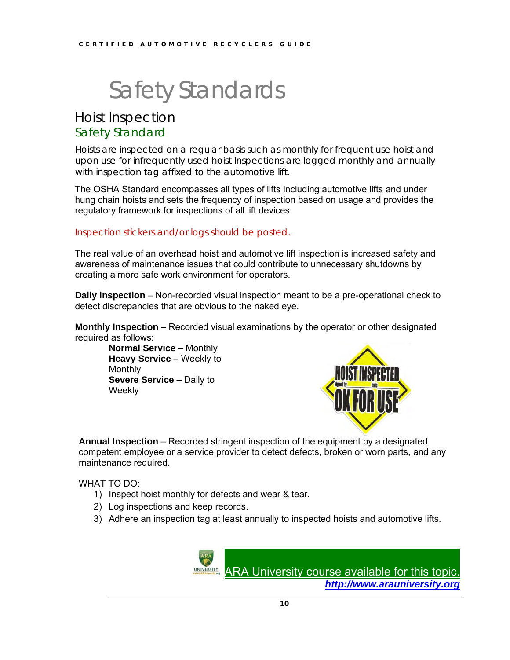## Hoist Inspection Safety Standard

Hoists are inspected on a regular basis such as monthly for frequent use hoist and upon use for infrequently used hoist Inspections are logged monthly and annually with inspection tag affixed to the automotive lift.

The OSHA Standard encompasses all types of lifts including automotive lifts and under hung chain hoists and sets the frequency of inspection based on usage and provides the regulatory framework for inspections of all lift devices.

#### Inspection stickers and/or logs should be posted.

The real value of an overhead hoist and automotive lift inspection is increased safety and awareness of maintenance issues that could contribute to unnecessary shutdowns by creating a more safe work environment for operators.

**Daily inspection** – Non-recorded visual inspection meant to be a pre-operational check to detect discrepancies that are obvious to the naked eye.

**Monthly Inspection** – Recorded visual examinations by the operator or other designated required as follows:

**Normal Service** – Monthly **Heavy Service** – Weekly to **Monthly Severe Service – Daily to Weekly** 



**Annual Inspection** – Recorded stringent inspection of the equipment by a designated competent employee or a service provider to detect defects, broken or worn parts, and any maintenance required.

WHAT TO DO:

- 1) Inspect hoist monthly for defects and wear & tear.
- 2) Log inspections and keep records.
- 3) Adhere an inspection tag at least annually to inspected hoists and automotive lifts.

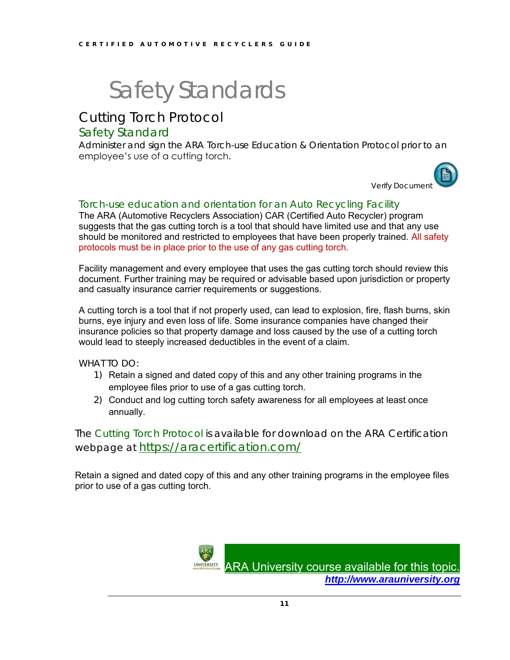## Cutting Torch Protocol

### Safety Standard

Administer and sign the ARA Torch-use Education & Orientation Protocol prior to an employee's use of a cutting torch.



### Torch-use education and orientation for an Auto Recycling Facility

The ARA (Automotive Recyclers Association) CAR (Certified Auto Recycler) program suggests that the gas cutting torch is a tool that should have limited use and that any use should be monitored and restricted to employees that have been properly trained. All safety protocols must be in place prior to the use of any gas cutting torch.

Facility management and every employee that uses the gas cutting torch should review this document. Further training may be required or advisable based upon jurisdiction or property and casualty insurance carrier requirements or suggestions.

A cutting torch is a tool that if not properly used, can lead to explosion, fire, flash burns, skin burns, eye injury and even loss of life. Some insurance companies have changed their insurance policies so that property damage and loss caused by the use of a cutting torch would lead to steeply increased deductibles in the event of a claim.

WHAT TO DO:

- 1) Retain a signed and dated copy of this and any other training programs in the employee files prior to use of a gas cutting torch.
- 2) Conduct and log cutting torch safety awareness for all employees at least once annually.

The Cutting Torch Protocol is available for download on the ARA Certification webpage at <https://aracertification.com/>

Retain a signed and dated copy of this and any other training programs in the employee files prior to use of a gas cutting torch.

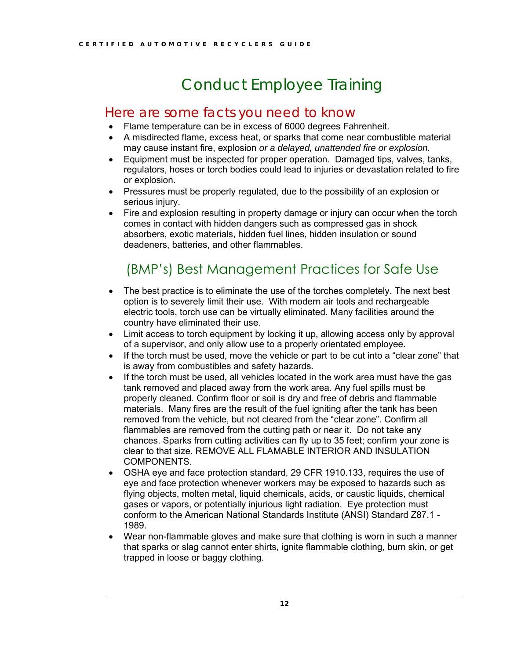## Conduct Employee Training

## Here are some facts you need to know

- Flame temperature can be in excess of 6000 degrees Fahrenheit.
- A misdirected flame, excess heat, or sparks that come near combustible material may cause instant fire, explosion *or a delayed, unattended fire or explosion.*
- Equipment must be inspected for proper operation. Damaged tips, valves, tanks, regulators, hoses or torch bodies could lead to injuries or devastation related to fire or explosion.
- Pressures must be properly regulated, due to the possibility of an explosion or serious injury.
- Fire and explosion resulting in property damage or injury can occur when the torch comes in contact with hidden dangers such as compressed gas in shock absorbers, exotic materials, hidden fuel lines, hidden insulation or sound deadeners, batteries, and other flammables.

## (BMP's) Best Management Practices for Safe Use

- The best practice is to eliminate the use of the torches completely. The next best option is to severely limit their use. With modern air tools and rechargeable electric tools, torch use can be virtually eliminated. Many facilities around the country have eliminated their use.
- Limit access to torch equipment by locking it up, allowing access only by approval of a supervisor, and only allow use to a properly orientated employee.
- If the torch must be used, move the vehicle or part to be cut into a "clear zone" that is away from combustibles and safety hazards.
- If the torch must be used, all vehicles located in the work area must have the gas tank removed and placed away from the work area. Any fuel spills must be properly cleaned. Confirm floor or soil is dry and free of debris and flammable materials. Many fires are the result of the fuel igniting after the tank has been removed from the vehicle, but not cleared from the "clear zone". Confirm all flammables are removed from the cutting path or near it. Do not take any chances. Sparks from cutting activities can fly up to 35 feet; confirm your zone is clear to that size. REMOVE ALL FLAMABLE INTERIOR AND INSULATION COMPONENTS.
- OSHA eye and face protection standard, 29 CFR 1910.133, requires the use of eye and face protection whenever workers may be exposed to hazards such as flying objects, molten metal, liquid chemicals, acids, or caustic liquids, chemical gases or vapors, or potentially injurious light radiation. Eye protection must conform to the American National Standards Institute (ANSI) Standard Z87.1 - 1989.
- Wear non-flammable gloves and make sure that clothing is worn in such a manner that sparks or slag cannot enter shirts, ignite flammable clothing, burn skin, or get trapped in loose or baggy clothing.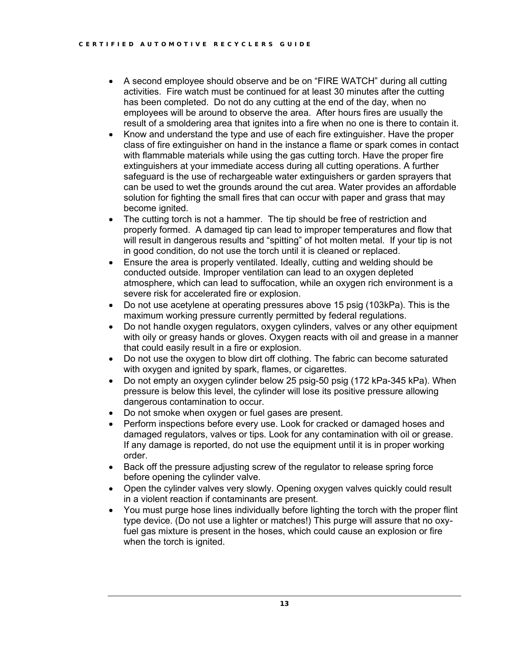- A second employee should observe and be on "FIRE WATCH" during all cutting activities. Fire watch must be continued for at least 30 minutes after the cutting has been completed. Do not do any cutting at the end of the day, when no employees will be around to observe the area. After hours fires are usually the result of a smoldering area that ignites into a fire when no one is there to contain it.
- Know and understand the type and use of each fire extinguisher. Have the proper class of fire extinguisher on hand in the instance a flame or spark comes in contact with flammable materials while using the gas cutting torch. Have the proper fire extinguishers at your immediate access during all cutting operations. A further safeguard is the use of rechargeable water extinguishers or garden sprayers that can be used to wet the grounds around the cut area. Water provides an affordable solution for fighting the small fires that can occur with paper and grass that may become ignited.
- The cutting torch is not a hammer. The tip should be free of restriction and properly formed. A damaged tip can lead to improper temperatures and flow that will result in dangerous results and "spitting" of hot molten metal. If your tip is not in good condition, do not use the torch until it is cleaned or replaced.
- Ensure the area is properly ventilated. Ideally, cutting and welding should be conducted outside. Improper ventilation can lead to an oxygen depleted atmosphere, which can lead to suffocation, while an oxygen rich environment is a severe risk for accelerated fire or explosion.
- Do not use acetylene at operating pressures above 15 psig (103kPa). This is the maximum working pressure currently permitted by federal regulations.
- Do not handle oxygen regulators, oxygen cylinders, valves or any other equipment with oily or greasy hands or gloves. Oxygen reacts with oil and grease in a manner that could easily result in a fire or explosion.
- Do not use the oxygen to blow dirt off clothing. The fabric can become saturated with oxygen and ignited by spark, flames, or cigarettes.
- Do not empty an oxygen cylinder below 25 psig-50 psig (172 kPa-345 kPa). When pressure is below this level, the cylinder will lose its positive pressure allowing dangerous contamination to occur.
- Do not smoke when oxygen or fuel gases are present.
- Perform inspections before every use. Look for cracked or damaged hoses and damaged regulators, valves or tips. Look for any contamination with oil or grease. If any damage is reported, do not use the equipment until it is in proper working order.
- Back off the pressure adjusting screw of the regulator to release spring force before opening the cylinder valve.
- Open the cylinder valves very slowly. Opening oxygen valves quickly could result in a violent reaction if contaminants are present.
- You must purge hose lines individually before lighting the torch with the proper flint type device. (Do not use a lighter or matches!) This purge will assure that no oxyfuel gas mixture is present in the hoses, which could cause an explosion or fire when the torch is janited.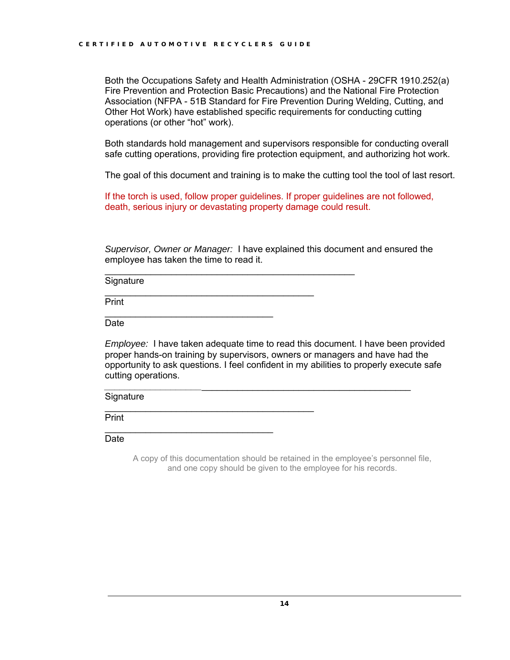Both the Occupations Safety and Health Administration (OSHA - 29CFR 1910.252(a) Fire Prevention and Protection Basic Precautions) and the National Fire Protection Association (NFPA - 51B Standard for Fire Prevention During Welding, Cutting, and Other Hot Work) have established specific requirements for conducting cutting operations (or other "hot" work).

Both standards hold management and supervisors responsible for conducting overall safe cutting operations, providing fire protection equipment, and authorizing hot work.

The goal of this document and training is to make the cutting tool the tool of last resort.

If the torch is used, follow proper guidelines. If proper guidelines are not followed, death, serious injury or devastating property damage could result.

*Supervisor, Owner or Manager:* I have explained this document and ensured the employee has taken the time to read it.

 $\mathcal{L}_\text{max}$  , and the set of the set of the set of the set of the set of the set of the set of the set of the set of the set of the set of the set of the set of the set of the set of the set of the set of the set of the

 $\frac{1}{2}$  , and the set of the set of the set of the set of the set of the set of the set of the set of the set of the set of the set of the set of the set of the set of the set of the set of the set of the set of the set

 $\frac{1}{2}$  , and the set of the set of the set of the set of the set of the set of the set of the set of the set of the set of the set of the set of the set of the set of the set of the set of the set of the set of the set

**Signature** 

Print  $\mathcal{L}_\text{max}$  , and the set of the set of the set of the set of the set of the set of the set of the set of the set of the set of the set of the set of the set of the set of the set of the set of the set of the set of the

Date

*Employee:* I have taken adequate time to read this document. I have been provided proper hands-on training by supervisors, owners or managers and have had the opportunity to ask questions. I feel confident in my abilities to properly execute safe cutting operations.

*\_\_\_\_\_\_\_\_\_\_\_\_\_\_\_\_\_\_\_*\_\_\_\_\_\_\_\_\_\_\_\_\_\_\_\_\_\_\_\_\_\_\_\_\_\_\_\_\_\_\_\_\_\_\_\_\_\_\_\_\_

**Signature** 

**Print** 

 $\mathcal{L}_\text{max}$  , which is a set of the set of the set of the set of the set of the set of the set of the set of the set of the set of the set of the set of the set of the set of the set of the set of the set of the set of Date

> A copy of this documentation should be retained in the employee's personnel file, and one copy should be given to the employee for his records.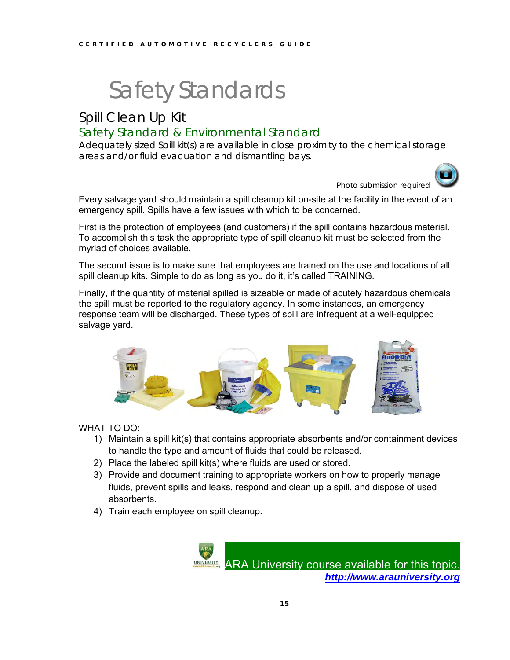## Spill Clean Up Kit Safety Standard & Environmental Standard

Adequately sized Spill kit(s) are available in close proximity to the chemical storage areas and/or fluid evacuation and dismantling bays.



Photo submission required

Every salvage yard should maintain a spill cleanup kit on-site at the facility in the event of an emergency spill. Spills have a few issues with which to be concerned.

First is the protection of employees (and customers) if the spill contains hazardous material. To accomplish this task the appropriate type of spill cleanup kit must be selected from the myriad of choices available.

The second issue is to make sure that employees are trained on the use and locations of all spill cleanup kits. Simple to do as long as you do it, it's called TRAINING.

Finally, if the quantity of material spilled is sizeable or made of acutely hazardous chemicals the spill must be reported to the regulatory agency. In some instances, an emergency response team will be discharged. These types of spill are infrequent at a well-equipped salvage yard.



#### WHAT TO DO:

- 1) Maintain a spill kit(s) that contains appropriate absorbents and/or containment devices to handle the type and amount of fluids that could be released.
- 2) Place the labeled spill kit(s) where fluids are used or stored.
- 3) Provide and document training to appropriate workers on how to properly manage fluids, prevent spills and leaks, respond and clean up a spill, and dispose of used absorbents.
- 4) Train each employee on spill cleanup.

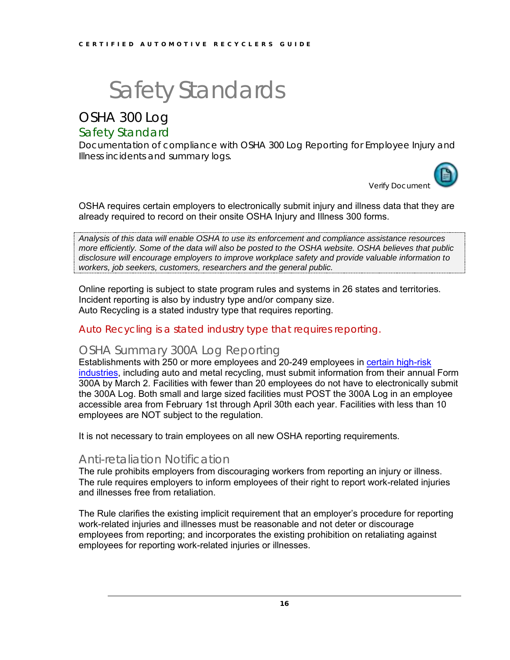## OSHA 300 Log

## Safety Standard

Documentation of compliance with OSHA 300 Log Reporting for Employee Injury and Illness incidents and summary logs.



OSHA requires certain employers to electronically submit injury and illness data that they are already required to record on their onsite OSHA Injury and Illness 300 forms.

*Analysis of this data will enable OSHA to use its enforcement and compliance assistance resources more efficiently. Some of the data will also be posted to the OSHA website. OSHA believes that public disclosure will encourage employers to improve workplace safety and provide valuable information to workers, job seekers, customers, researchers and the general public.*

Online reporting is subject to state program rules and systems in 26 states and territories. Incident reporting is also by industry type and/or company size. Auto Recycling is a stated industry type that requires reporting.

### Auto Recycling is a stated industry type that requires reporting.

### OSHA Summary 300A Log Reporting

Establishments with 250 or more employees and 20-249 employees in [certain high-risk](https://www.osha.gov/recordkeeping/NAICScodesforelectronicsubmission.html)  [industries,](https://www.osha.gov/recordkeeping/NAICScodesforelectronicsubmission.html) including auto and metal recycling, must submit information from their annual Form 300A by March 2. Facilities with fewer than 20 employees do not have to electronically submit the 300A Log. Both small and large sized facilities must POST the 300A Log in an employee accessible area from February 1st through April 30th each year. Facilities with less than 10 employees are NOT subject to the regulation.

It is not necessary to train employees on all new OSHA reporting requirements.

### Anti-retaliation Notification

The rule prohibits employers from discouraging workers from reporting an injury or illness. The rule requires employers to inform employees of their right to report work-related injuries and illnesses free from retaliation.

The Rule clarifies the existing implicit requirement that an employer's procedure for reporting work-related injuries and illnesses must be reasonable and not deter or discourage employees from reporting; and incorporates the existing prohibition on retaliating against employees for reporting work-related injuries or illnesses.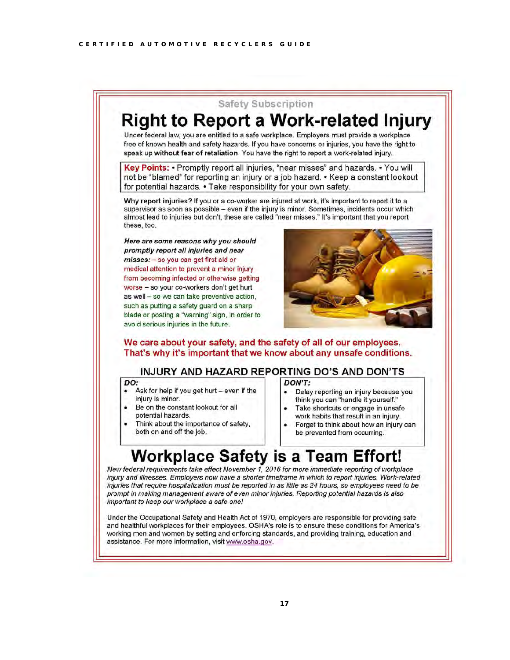

#### **INJURY AND HAZARD REPORTING DO'S AND DON'TS**

#### DO:

- Ask for help if you get hurt even if the injury is minor.
- Be on the constant lookout for all potential hazards.
- Think about the importance of safety, both on and off the job.

#### DON'T:

- Delay reporting an injury because you think you can "handle it yourself."
- Take shortcuts or engage in unsafe
- work habits that result in an injury. Forget to think about how an injury can

be prevented from occurring.

## **Workplace Safety is a Team Effort!**

New federal requirements take effect November 1, 2016 for more immediate reporting of workplace injury and illnesses. Employers now have a shorter timeframe in which to report injuries. Work-related injuries that require hospitalization must be reported in as little as 24 hours, so employees need to be prompt in making management aware of even minor injuries. Reporting potential hazards is also important to keep our workplace a safe one!

Under the Occupational Safety and Health Act of 1970, employers are responsible for providing safe and healthful workplaces for their employees. OSHA's role is to ensure these conditions for America's working men and women by setting and enforcing standards, and providing training, education and assistance. For more information, visit www.osha.gov.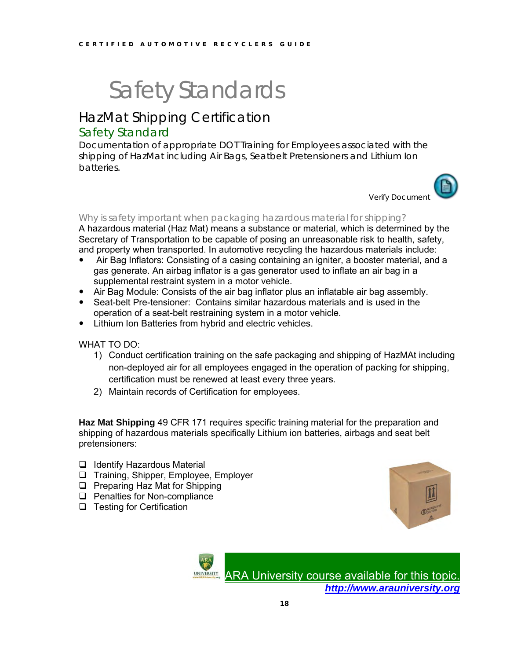## HazMat Shipping Certification

## Safety Standard

Documentation of appropriate DOT Training for Employees associated with the shipping of HazMat including Air Bags, Seatbelt Pretensioners and Lithium Ion batteries.



#### Why is safety important when packaging hazardous material for shipping?

A hazardous material (Haz Mat) means a substance or material, which is determined by the Secretary of Transportation to be capable of posing an unreasonable risk to health, safety, and property when transported. In automotive recycling the hazardous materials include:

- Air Bag Inflators: Consisting of a casing containing an igniter, a booster material, and a gas generate. An airbag inflator is a gas generator used to inflate an air bag in a supplemental restraint system in a motor vehicle.
- Air Bag Module: Consists of the air bag inflator plus an inflatable air bag assembly.
- Seat-belt Pre-tensioner: Contains similar hazardous materials and is used in the operation of a seat-belt restraining system in a motor vehicle.
- Lithium Ion Batteries from hybrid and electric vehicles.

WHAT TO DO:

- 1) Conduct certification training on the safe packaging and shipping of HazMAt including non-deployed air for all employees engaged in the operation of packing for shipping, certification must be renewed at least every three years.
- 2) Maintain records of Certification for employees.

**Haz Mat Shipping** 49 CFR 171 requires specific training material for the preparation and shipping of hazardous materials specifically Lithium ion batteries, airbags and seat belt pretensioners:

- ❑ Identify Hazardous Material
- ❑ Training, Shipper, Employee, Employer
- ❑ Preparing Haz Mat for Shipping
- ❑ Penalties for Non-compliance
- ❑ Testing for Certification



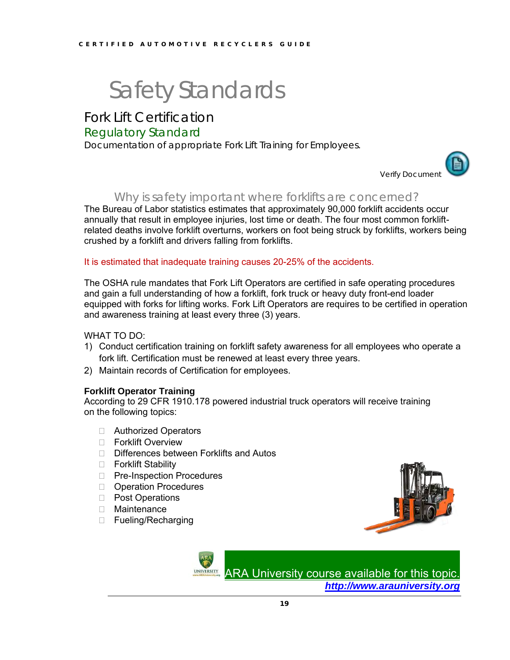## Fork Lift Certification

### Regulatory Standard

Documentation of appropriate Fork Lift Training for Employees.



### Why is safety important where forklifts are concerned?

The Bureau of Labor statistics estimates that approximately 90,000 forklift accidents occur annually that result in employee injuries, lost time or death. The four most common forkliftrelated deaths involve forklift overturns, workers on foot being struck by forklifts, workers being crushed by a forklift and drivers falling from forklifts.

#### It is estimated that inadequate training causes 20-25% of the accidents.

The OSHA rule mandates that Fork Lift Operators are certified in safe operating procedures and gain a full understanding of how a forklift, fork truck or heavy duty front-end loader equipped with forks for lifting works. Fork Lift Operators are requires to be certified in operation and awareness training at least every three (3) years.

#### WHAT TO DO:

- 1) Conduct certification training on forklift safety awareness for all employees who operate a fork lift. Certification must be renewed at least every three years.
- 2) Maintain records of Certification for employees.

#### **Forklift Operator Training**

According to 29 CFR 1910.178 powered industrial truck operators will receive training on the following topics:

- □ Authorized Operators
- □ Forklift Overview
- □ Differences between Forklifts and Autos
- □ Forklift Stability
- □ Pre-Inspection Procedures
- **D** Operation Procedures
- D Post Operations
- Maintenance
- □ Fueling/Recharging



[ARA University course available for this topic.](http://www.arauniversity.org/) *[http://www.arauniversity.org](http://www.arauniversity.org/)*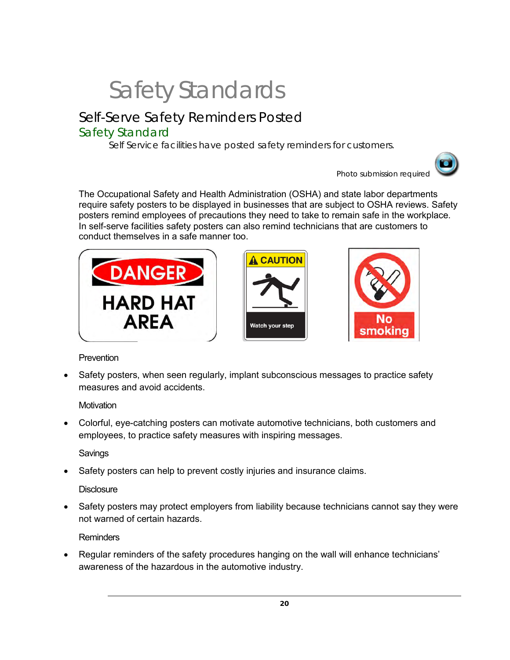## Self-Serve Safety Reminders Posted

## Safety Standard

Self Service facilities have posted safety reminders for customers.



Photo submission required

The Occupational Safety and Health Administration (OSHA) and state labor departments require safety posters to be displayed in businesses that are subject to OSHA reviews. Safety posters remind employees of precautions they need to take to remain safe in the workplace. In self-serve facilities safety posters can also remind technicians that are customers to conduct themselves in a safe manner too.







### Prevention

• Safety posters, when seen regularly, implant subconscious messages to practice safety measures and avoid accidents.

**Motivation** 

• Colorful, eye-catching posters can motivate automotive technicians, both customers and employees, to practice safety measures with inspiring messages.

Savings

• Safety posters can help to prevent costly injuries and insurance claims.

### **Disclosure**

• Safety posters may protect employers from liability because technicians cannot say they were not warned of certain hazards.

**Reminders** 

• Regular reminders of the safety procedures hanging on the wall will enhance technicians' awareness of the hazardous in the automotive industry.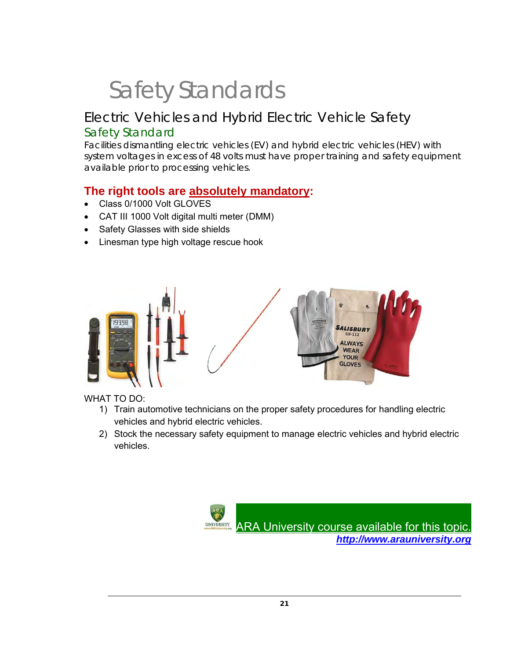## Electric Vehicles and Hybrid Electric Vehicle Safety Safety Standard

Facilities dismantling electric vehicles (EV) and hybrid electric vehicles (HEV) with system voltages in excess of 48 volts must have proper training and safety equipment available prior to processing vehicles.

## **The right tools are absolutely mandatory:**

- Class 0/1000 Volt GLOVES
- CAT III 1000 Volt digital multi meter (DMM)
- Safety Glasses with side shields
- Linesman type high voltage rescue hook



WHAT TO DO:

- 1) Train automotive technicians on the proper safety procedures for handling electric vehicles and hybrid electric vehicles.
- 2) Stock the necessary safety equipment to manage electric vehicles and hybrid electric vehicles.